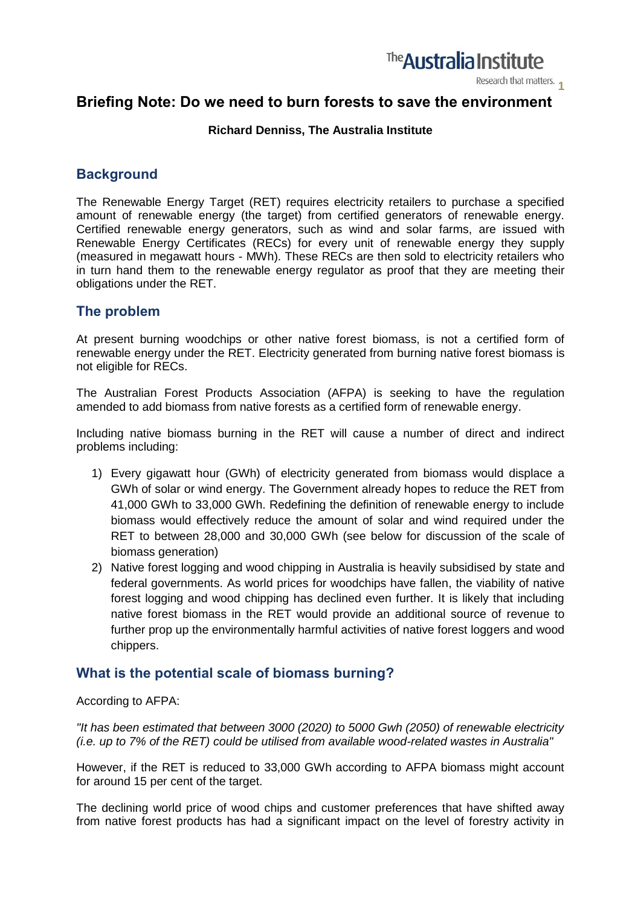

Research that matters.

# **Briefing Note: Do we need to burn forests to save the environment**

#### **Richard Denniss, The Australia Institute**

# **Background**

The Renewable Energy Target (RET) requires electricity retailers to purchase a specified amount of renewable energy (the target) from certified generators of renewable energy. Certified renewable energy generators, such as wind and solar farms, are issued with Renewable Energy Certificates (RECs) for every unit of renewable energy they supply (measured in megawatt hours - MWh). These RECs are then sold to electricity retailers who in turn hand them to the renewable energy regulator as proof that they are meeting their obligations under the RET.

## **The problem**

At present burning woodchips or other native forest biomass, is not a certified form of renewable energy under the RET. Electricity generated from burning native forest biomass is not eligible for RECs.

The Australian Forest Products Association (AFPA) is seeking to have the regulation amended to add biomass from native forests as a certified form of renewable energy.

Including native biomass burning in the RET will cause a number of direct and indirect problems including:

- 1) Every gigawatt hour (GWh) of electricity generated from biomass would displace a GWh of solar or wind energy. The Government already hopes to reduce the RET from 41,000 GWh to 33,000 GWh. Redefining the definition of renewable energy to include biomass would effectively reduce the amount of solar and wind required under the RET to between 28,000 and 30,000 GWh (see below for discussion of the scale of biomass generation)
- 2) Native forest logging and wood chipping in Australia is heavily subsidised by state and federal governments. As world prices for woodchips have fallen, the viability of native forest logging and wood chipping has declined even further. It is likely that including native forest biomass in the RET would provide an additional source of revenue to further prop up the environmentally harmful activities of native forest loggers and wood chippers.

## **What is the potential scale of biomass burning?**

#### According to AFPA:

*"It has been estimated that between 3000 (2020) to 5000 Gwh (2050) of renewable electricity (i.e. up to 7% of the RET) could be utilised from available wood-related wastes in Australia"*

However, if the RET is reduced to 33,000 GWh according to AFPA biomass might account for around 15 per cent of the target.

The declining world price of wood chips and customer preferences that have shifted away from native forest products has had a significant impact on the level of forestry activity in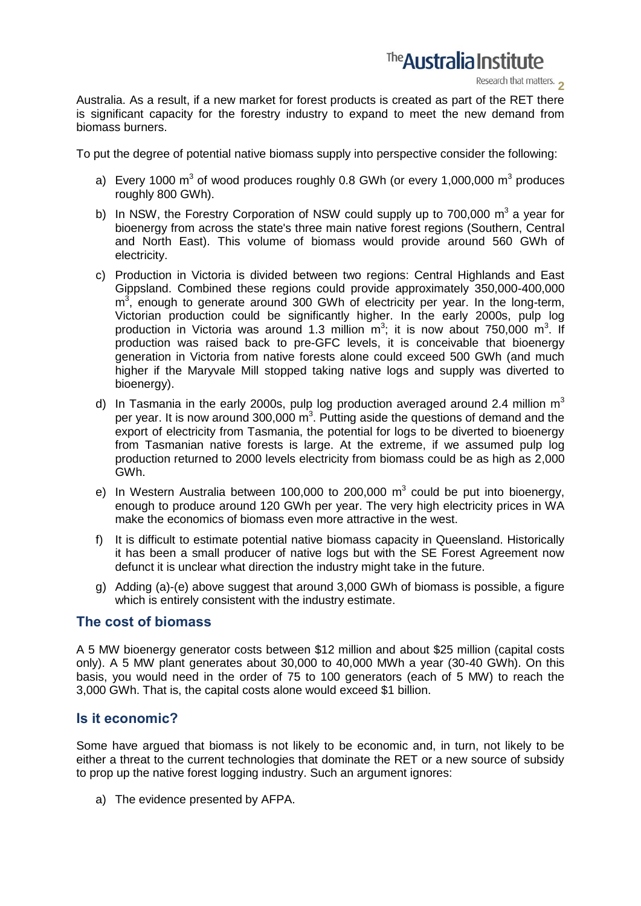

Research that matters.

Australia. As a result, if a new market for forest products is created as part of the RET there is significant capacity for the forestry industry to expand to meet the new demand from biomass burners.

To put the degree of potential native biomass supply into perspective consider the following:

- a) Every 1000 m<sup>3</sup> of wood produces roughly 0.8 GWh (or every 1,000,000 m<sup>3</sup> produces roughly 800 GWh).
- b) In NSW, the Forestry Corporation of NSW could supply up to 700,000  $m^3$  a year for bioenergy from across the state's three main native forest regions (Southern, Central and North East). This volume of biomass would provide around 560 GWh of electricity.
- c) Production in Victoria is divided between two regions: Central Highlands and East Gippsland. Combined these regions could provide approximately 350,000-400,000  $m<sup>3</sup>$ , enough to generate around 300 GWh of electricity per year. In the long-term, Victorian production could be significantly higher. In the early 2000s, pulp log production in Victoria was around 1.3 million  $m^3$ ; it is now about 750,000  $m^3$ . If production was raised back to pre-GFC levels, it is conceivable that bioenergy generation in Victoria from native forests alone could exceed 500 GWh (and much higher if the Maryvale Mill stopped taking native logs and supply was diverted to bioenergy).
- d) In Tasmania in the early 2000s, pulp log production averaged around 2.4 million  $m^3$ per year. It is now around 300,000  $m^3$ . Putting aside the questions of demand and the export of electricity from Tasmania, the potential for logs to be diverted to bioenergy from Tasmanian native forests is large. At the extreme, if we assumed pulp log production returned to 2000 levels electricity from biomass could be as high as 2,000 GWh.
- e) In Western Australia between 100,000 to 200,000  $m<sup>3</sup>$  could be put into bioenergy, enough to produce around 120 GWh per year. The very high electricity prices in WA make the economics of biomass even more attractive in the west.
- f) It is difficult to estimate potential native biomass capacity in Queensland. Historically it has been a small producer of native logs but with the SE Forest Agreement now defunct it is unclear what direction the industry might take in the future.
- g) Adding (a)-(e) above suggest that around 3,000 GWh of biomass is possible, a figure which is entirely consistent with the industry estimate.

## **The cost of biomass**

A 5 MW bioenergy generator costs between \$12 million and about \$25 million (capital costs only). A 5 MW plant generates about 30,000 to 40,000 MWh a year (30-40 GWh). On this basis, you would need in the order of 75 to 100 generators (each of 5 MW) to reach the 3,000 GWh. That is, the capital costs alone would exceed \$1 billion.

## **Is it economic?**

Some have argued that biomass is not likely to be economic and, in turn, not likely to be either a threat to the current technologies that dominate the RET or a new source of subsidy to prop up the native forest logging industry. Such an argument ignores:

a) The evidence presented by AFPA.